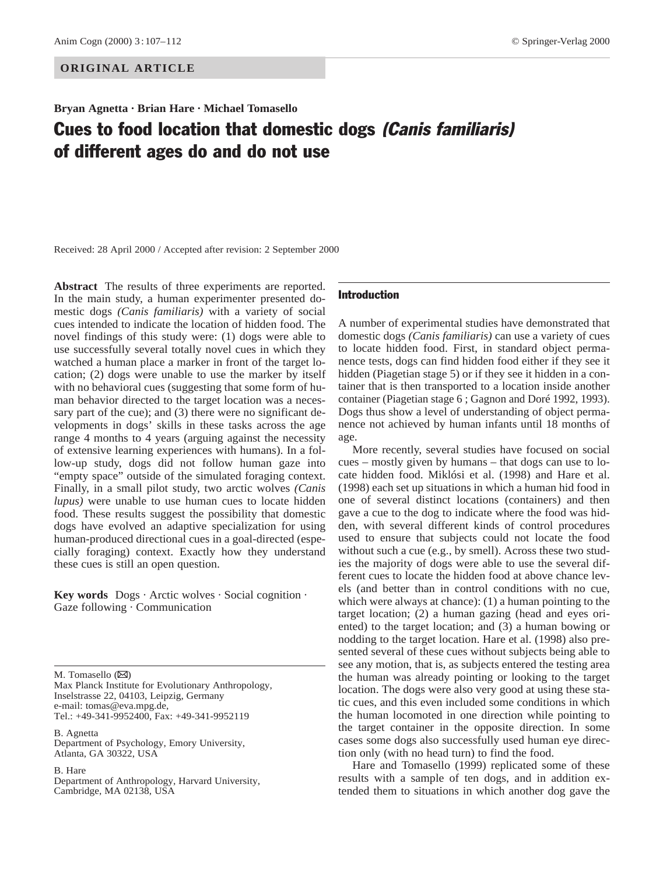**Bryan Agnetta · Brian Hare · Michael Tomasello**

# Cues to food location that domestic dogs (Canis familiaris) of different ages do and do not use

Received: 28 April 2000 / Accepted after revision: 2 September 2000

**Abstract** The results of three experiments are reported. In the main study, a human experimenter presented domestic dogs *(Canis familiaris)* with a variety of social cues intended to indicate the location of hidden food. The novel findings of this study were: (1) dogs were able to use successfully several totally novel cues in which they watched a human place a marker in front of the target location; (2) dogs were unable to use the marker by itself with no behavioral cues (suggesting that some form of human behavior directed to the target location was a necessary part of the cue); and (3) there were no significant developments in dogs' skills in these tasks across the age range 4 months to 4 years (arguing against the necessity of extensive learning experiences with humans). In a follow-up study, dogs did not follow human gaze into "empty space" outside of the simulated foraging context. Finally, in a small pilot study, two arctic wolves *(Canis lupus*) were unable to use human cues to locate hidden food. These results suggest the possibility that domestic dogs have evolved an adaptive specialization for using human-produced directional cues in a goal-directed (especially foraging) context. Exactly how they understand these cues is still an open question.

**Key words** Dogs · Arctic wolves · Social cognition · Gaze following · Communication

M. Tomasello  $(\boxtimes)$ 

Max Planck Institute for Evolutionary Anthropology, Inselstrasse 22, 04103, Leipzig, Germany e-mail: tomas@eva.mpg.de, Tel.: +49-341-9952400, Fax: +49-341-9952119

B. Agnetta Department of Psychology, Emory University, Atlanta, GA 30322, USA

B. Hare Department of Anthropology, Harvard University, Cambridge, MA 02138, USA

### Introduction

A number of experimental studies have demonstrated that domestic dogs *(Canis familiaris)* can use a variety of cues to locate hidden food. First, in standard object permanence tests, dogs can find hidden food either if they see it hidden (Piagetian stage 5) or if they see it hidden in a container that is then transported to a location inside another container (Piagetian stage 6 ; Gagnon and Doré 1992, 1993). Dogs thus show a level of understanding of object permanence not achieved by human infants until 18 months of age.

More recently, several studies have focused on social cues – mostly given by humans – that dogs can use to locate hidden food. Miklósi et al. (1998) and Hare et al. (1998) each set up situations in which a human hid food in one of several distinct locations (containers) and then gave a cue to the dog to indicate where the food was hidden, with several different kinds of control procedures used to ensure that subjects could not locate the food without such a cue (e.g., by smell). Across these two studies the majority of dogs were able to use the several different cues to locate the hidden food at above chance levels (and better than in control conditions with no cue, which were always at chance): (1) a human pointing to the target location; (2) a human gazing (head and eyes oriented) to the target location; and (3) a human bowing or nodding to the target location. Hare et al. (1998) also presented several of these cues without subjects being able to see any motion, that is, as subjects entered the testing area the human was already pointing or looking to the target location. The dogs were also very good at using these static cues, and this even included some conditions in which the human locomoted in one direction while pointing to the target container in the opposite direction. In some cases some dogs also successfully used human eye direction only (with no head turn) to find the food.

Hare and Tomasello (1999) replicated some of these results with a sample of ten dogs, and in addition extended them to situations in which another dog gave the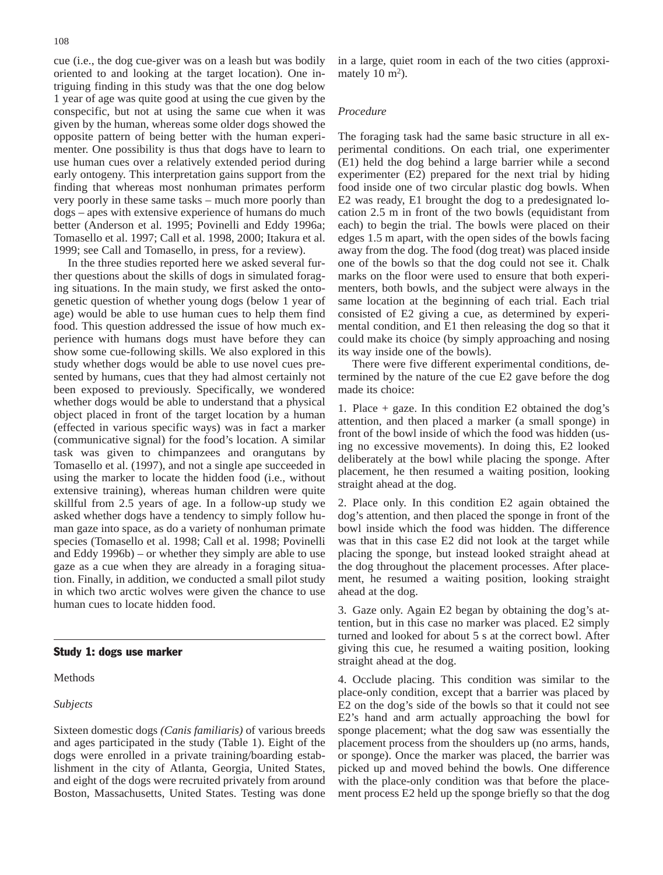cue (i.e., the dog cue-giver was on a leash but was bodily oriented to and looking at the target location). One intriguing finding in this study was that the one dog below 1 year of age was quite good at using the cue given by the conspecific, but not at using the same cue when it was given by the human, whereas some older dogs showed the opposite pattern of being better with the human experimenter. One possibility is thus that dogs have to learn to use human cues over a relatively extended period during early ontogeny. This interpretation gains support from the finding that whereas most nonhuman primates perform very poorly in these same tasks – much more poorly than dogs – apes with extensive experience of humans do much better (Anderson et al. 1995; Povinelli and Eddy 1996a; Tomasello et al. 1997; Call et al. 1998, 2000; Itakura et al. 1999; see Call and Tomasello, in press, for a review).

In the three studies reported here we asked several further questions about the skills of dogs in simulated foraging situations. In the main study, we first asked the ontogenetic question of whether young dogs (below 1 year of age) would be able to use human cues to help them find food. This question addressed the issue of how much experience with humans dogs must have before they can show some cue-following skills. We also explored in this study whether dogs would be able to use novel cues presented by humans, cues that they had almost certainly not been exposed to previously. Specifically, we wondered whether dogs would be able to understand that a physical object placed in front of the target location by a human (effected in various specific ways) was in fact a marker (communicative signal) for the food's location. A similar task was given to chimpanzees and orangutans by Tomasello et al. (1997), and not a single ape succeeded in using the marker to locate the hidden food (i.e., without extensive training), whereas human children were quite skillful from 2.5 years of age. In a follow-up study we asked whether dogs have a tendency to simply follow human gaze into space, as do a variety of nonhuman primate species (Tomasello et al. 1998; Call et al. 1998; Povinelli and Eddy 1996b) – or whether they simply are able to use gaze as a cue when they are already in a foraging situation. Finally, in addition, we conducted a small pilot study in which two arctic wolves were given the chance to use human cues to locate hidden food.

## Study 1: dogs use marker

Methods

#### *Subjects*

Sixteen domestic dogs *(Canis familiaris)* of various breeds and ages participated in the study (Table 1). Eight of the dogs were enrolled in a private training/boarding establishment in the city of Atlanta, Georgia, United States, and eight of the dogs were recruited privately from around Boston, Massachusetts, United States. Testing was done in a large, quiet room in each of the two cities (approximately  $10 \text{ m}^2$ ).

### *Procedure*

The foraging task had the same basic structure in all experimental conditions. On each trial, one experimenter (E1) held the dog behind a large barrier while a second experimenter (E2) prepared for the next trial by hiding food inside one of two circular plastic dog bowls. When E2 was ready, E1 brought the dog to a predesignated location 2.5 m in front of the two bowls (equidistant from each) to begin the trial. The bowls were placed on their edges 1.5 m apart, with the open sides of the bowls facing away from the dog. The food (dog treat) was placed inside one of the bowls so that the dog could not see it. Chalk marks on the floor were used to ensure that both experimenters, both bowls, and the subject were always in the same location at the beginning of each trial. Each trial consisted of E2 giving a cue, as determined by experimental condition, and E1 then releasing the dog so that it could make its choice (by simply approaching and nosing its way inside one of the bowls).

There were five different experimental conditions, determined by the nature of the cue E2 gave before the dog made its choice:

1. Place  $+$  gaze. In this condition E2 obtained the dog's attention, and then placed a marker (a small sponge) in front of the bowl inside of which the food was hidden (using no excessive movements). In doing this, E2 looked deliberately at the bowl while placing the sponge. After placement, he then resumed a waiting position, looking straight ahead at the dog.

2. Place only. In this condition E2 again obtained the dog's attention, and then placed the sponge in front of the bowl inside which the food was hidden. The difference was that in this case E2 did not look at the target while placing the sponge, but instead looked straight ahead at the dog throughout the placement processes. After placement, he resumed a waiting position, looking straight ahead at the dog.

3. Gaze only. Again E2 began by obtaining the dog's attention, but in this case no marker was placed. E2 simply turned and looked for about 5 s at the correct bowl. After giving this cue, he resumed a waiting position, looking straight ahead at the dog.

4. Occlude placing. This condition was similar to the place-only condition, except that a barrier was placed by E2 on the dog's side of the bowls so that it could not see E2's hand and arm actually approaching the bowl for sponge placement; what the dog saw was essentially the placement process from the shoulders up (no arms, hands, or sponge). Once the marker was placed, the barrier was picked up and moved behind the bowls. One difference with the place-only condition was that before the placement process E2 held up the sponge briefly so that the dog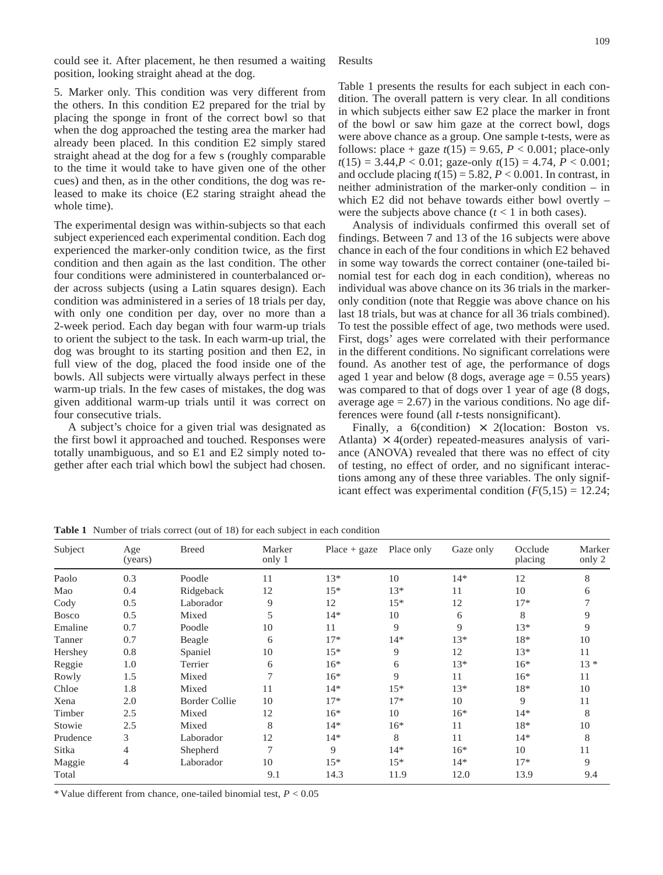could see it. After placement, he then resumed a waiting position, looking straight ahead at the dog.

5. Marker only. This condition was very different from the others. In this condition E2 prepared for the trial by placing the sponge in front of the correct bowl so that when the dog approached the testing area the marker had already been placed. In this condition E2 simply stared straight ahead at the dog for a few s (roughly comparable to the time it would take to have given one of the other cues) and then, as in the other conditions, the dog was released to make its choice (E2 staring straight ahead the whole time).

The experimental design was within-subjects so that each subject experienced each experimental condition. Each dog experienced the marker-only condition twice, as the first condition and then again as the last condition. The other four conditions were administered in counterbalanced order across subjects (using a Latin squares design). Each condition was administered in a series of 18 trials per day, with only one condition per day, over no more than a 2-week period. Each day began with four warm-up trials to orient the subject to the task. In each warm-up trial, the dog was brought to its starting position and then E2, in full view of the dog, placed the food inside one of the bowls. All subjects were virtually always perfect in these warm-up trials. In the few cases of mistakes, the dog was given additional warm-up trials until it was correct on four consecutive trials.

A subject's choice for a given trial was designated as the first bowl it approached and touched. Responses were totally unambiguous, and so E1 and E2 simply noted together after each trial which bowl the subject had chosen. Results

Table 1 presents the results for each subject in each condition. The overall pattern is very clear. In all conditions in which subjects either saw E2 place the marker in front of the bowl or saw him gaze at the correct bowl, dogs were above chance as a group. One sample t-tests, were as follows: place + gaze  $t(15) = 9.65$ ,  $P < 0.001$ ; place-only  $t(15) = 3.44$ , $P < 0.01$ ; gaze-only  $t(15) = 4.74$ ,  $P < 0.001$ ; and occlude placing  $t(15) = 5.82$ ,  $P < 0.001$ . In contrast, in neither administration of the marker-only condition – in which E2 did not behave towards either bowl overtly – were the subjects above chance  $(t < 1$  in both cases).

Analysis of individuals confirmed this overall set of findings. Between 7 and 13 of the 16 subjects were above chance in each of the four conditions in which E2 behaved in some way towards the correct container (one-tailed binomial test for each dog in each condition), whereas no individual was above chance on its 36 trials in the markeronly condition (note that Reggie was above chance on his last 18 trials, but was at chance for all 36 trials combined). To test the possible effect of age, two methods were used. First, dogs' ages were correlated with their performance in the different conditions. No significant correlations were found. As another test of age, the performance of dogs aged 1 year and below (8 dogs, average  $age = 0.55$  years) was compared to that of dogs over 1 year of age (8 dogs, average age  $= 2.67$ ) in the various conditions. No age differences were found (all *t*-tests nonsignificant).

Finally, a 6(condition)  $\times$  2(location: Boston vs. Atlanta)  $\times$  4(order) repeated-measures analysis of variance (ANOVA) revealed that there was no effect of city of testing, no effect of order, and no significant interactions among any of these three variables. The only significant effect was experimental condition  $(F(5,15) = 12.24)$ ;

| Subject      | Age<br>(years) | <b>Breed</b>         | Marker<br>only 1 | $Place + gaze$ | Place only | Gaze only | Occlude<br>placing | Marker<br>only 2 |
|--------------|----------------|----------------------|------------------|----------------|------------|-----------|--------------------|------------------|
| Paolo        | 0.3            | Poodle               | 11               | $13*$          | 10         | $14*$     | 12                 | 8                |
| Mao          | 0.4            | Ridgeback            | 12               | $15*$          | $13*$      | 11        | 10                 | 6                |
| Cody         | 0.5            | Laborador            | 9                | 12             | $15*$      | 12        | $17*$              |                  |
| <b>Bosco</b> | 0.5            | Mixed                | 5                | $14*$          | 10         | 6         | 8                  | 9                |
| Emaline      | 0.7            | Poodle               | 10               | 11             | 9          | 9         | $13*$              | 9                |
| Tanner       | 0.7            | Beagle               | 6                | $17*$          | $14*$      | $13*$     | 18*                | 10               |
| Hershey      | 0.8            | Spaniel              | 10               | $15*$          | 9          | 12        | $13*$              | 11               |
| Reggie       | 1.0            | Terrier              | 6                | $16*$          | 6          | $13*$     | $16*$              | $13 *$           |
| Rowly        | 1.5            | Mixed                |                  | $16*$          | 9          | 11        | $16*$              | 11               |
| Chloe        | 1.8            | Mixed                | 11               | $14*$          | $15*$      | $13*$     | 18*                | 10               |
| Xena         | 2.0            | <b>Border Collie</b> | 10               | $17*$          | $17*$      | 10        | 9                  | 11               |
| Timber       | 2.5            | Mixed                | 12               | $16*$          | 10         | $16*$     | $14*$              | 8                |
| Stowie       | 2.5            | Mixed                | 8                | $14*$          | $16*$      | 11        | 18*                | 10               |
| Prudence     | 3              | Laborador            | 12               | $14*$          | 8          | 11        | $14*$              | 8                |
| Sitka        | $\overline{4}$ | Shepherd             | $\tau$           | 9              | $14*$      | $16*$     | 10                 | 11               |
| Maggie       | $\overline{4}$ | Laborador            | 10               | $15*$          | $15*$      | $14*$     | $17*$              | 9                |
| Total        |                |                      | 9.1              | 14.3           | 11.9       | 12.0      | 13.9               | 9.4              |

**Table 1** Number of trials correct (out of 18) for each subject in each condition

\* Value different from chance, one-tailed binomial test, *P* < 0.05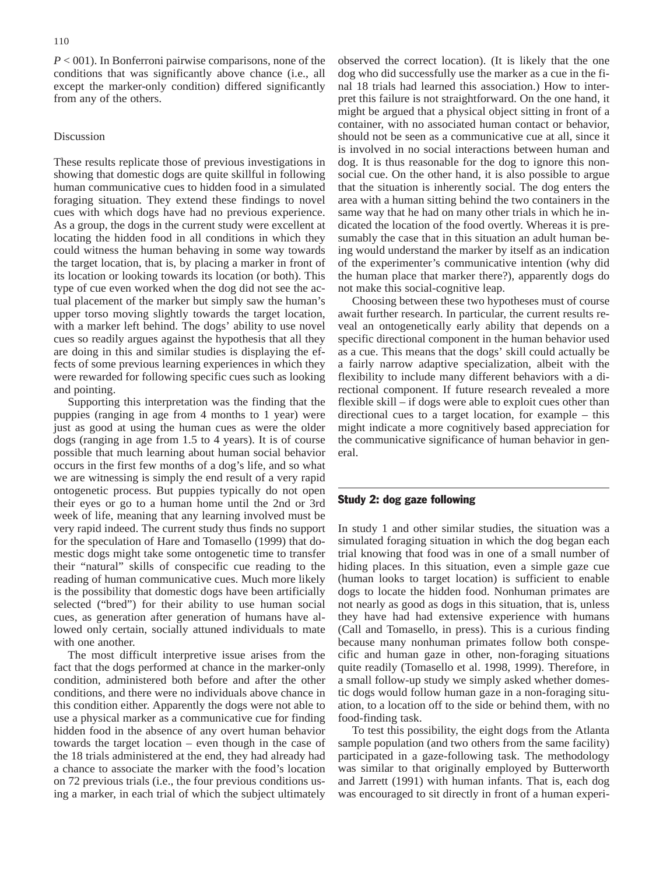*P* < 001). In Bonferroni pairwise comparisons, none of the conditions that was significantly above chance (i.e., all except the marker-only condition) differed significantly from any of the others.

### Discussion

These results replicate those of previous investigations in showing that domestic dogs are quite skillful in following human communicative cues to hidden food in a simulated foraging situation. They extend these findings to novel cues with which dogs have had no previous experience. As a group, the dogs in the current study were excellent at locating the hidden food in all conditions in which they could witness the human behaving in some way towards the target location, that is, by placing a marker in front of its location or looking towards its location (or both). This type of cue even worked when the dog did not see the actual placement of the marker but simply saw the human's upper torso moving slightly towards the target location, with a marker left behind. The dogs' ability to use novel cues so readily argues against the hypothesis that all they are doing in this and similar studies is displaying the effects of some previous learning experiences in which they were rewarded for following specific cues such as looking and pointing.

Supporting this interpretation was the finding that the puppies (ranging in age from 4 months to 1 year) were just as good at using the human cues as were the older dogs (ranging in age from 1.5 to 4 years). It is of course possible that much learning about human social behavior occurs in the first few months of a dog's life, and so what we are witnessing is simply the end result of a very rapid ontogenetic process. But puppies typically do not open their eyes or go to a human home until the 2nd or 3rd week of life, meaning that any learning involved must be very rapid indeed. The current study thus finds no support for the speculation of Hare and Tomasello (1999) that domestic dogs might take some ontogenetic time to transfer their "natural" skills of conspecific cue reading to the reading of human communicative cues. Much more likely is the possibility that domestic dogs have been artificially selected ("bred") for their ability to use human social cues, as generation after generation of humans have allowed only certain, socially attuned individuals to mate with one another.

The most difficult interpretive issue arises from the fact that the dogs performed at chance in the marker-only condition, administered both before and after the other conditions, and there were no individuals above chance in this condition either. Apparently the dogs were not able to use a physical marker as a communicative cue for finding hidden food in the absence of any overt human behavior towards the target location – even though in the case of the 18 trials administered at the end, they had already had a chance to associate the marker with the food's location on 72 previous trials (i.e., the four previous conditions using a marker, in each trial of which the subject ultimately

observed the correct location). (It is likely that the one dog who did successfully use the marker as a cue in the final 18 trials had learned this association.) How to interpret this failure is not straightforward. On the one hand, it might be argued that a physical object sitting in front of a container, with no associated human contact or behavior, should not be seen as a communicative cue at all, since it is involved in no social interactions between human and dog. It is thus reasonable for the dog to ignore this nonsocial cue. On the other hand, it is also possible to argue that the situation is inherently social. The dog enters the area with a human sitting behind the two containers in the same way that he had on many other trials in which he indicated the location of the food overtly. Whereas it is presumably the case that in this situation an adult human being would understand the marker by itself as an indication of the experimenter's communicative intention (why did the human place that marker there?), apparently dogs do not make this social-cognitive leap.

Choosing between these two hypotheses must of course await further research. In particular, the current results reveal an ontogenetically early ability that depends on a specific directional component in the human behavior used as a cue. This means that the dogs' skill could actually be a fairly narrow adaptive specialization, albeit with the flexibility to include many different behaviors with a directional component. If future research revealed a more flexible skill – if dogs were able to exploit cues other than directional cues to a target location, for example – this might indicate a more cognitively based appreciation for the communicative significance of human behavior in general.

## Study 2: dog gaze following

In study 1 and other similar studies, the situation was a simulated foraging situation in which the dog began each trial knowing that food was in one of a small number of hiding places. In this situation, even a simple gaze cue (human looks to target location) is sufficient to enable dogs to locate the hidden food. Nonhuman primates are not nearly as good as dogs in this situation, that is, unless they have had had extensive experience with humans (Call and Tomasello, in press). This is a curious finding because many nonhuman primates follow both conspecific and human gaze in other, non-foraging situations quite readily (Tomasello et al. 1998, 1999). Therefore, in a small follow-up study we simply asked whether domestic dogs would follow human gaze in a non-foraging situation, to a location off to the side or behind them, with no food-finding task.

To test this possibility, the eight dogs from the Atlanta sample population (and two others from the same facility) participated in a gaze-following task. The methodology was similar to that originally employed by Butterworth and Jarrett (1991) with human infants. That is, each dog was encouraged to sit directly in front of a human experi-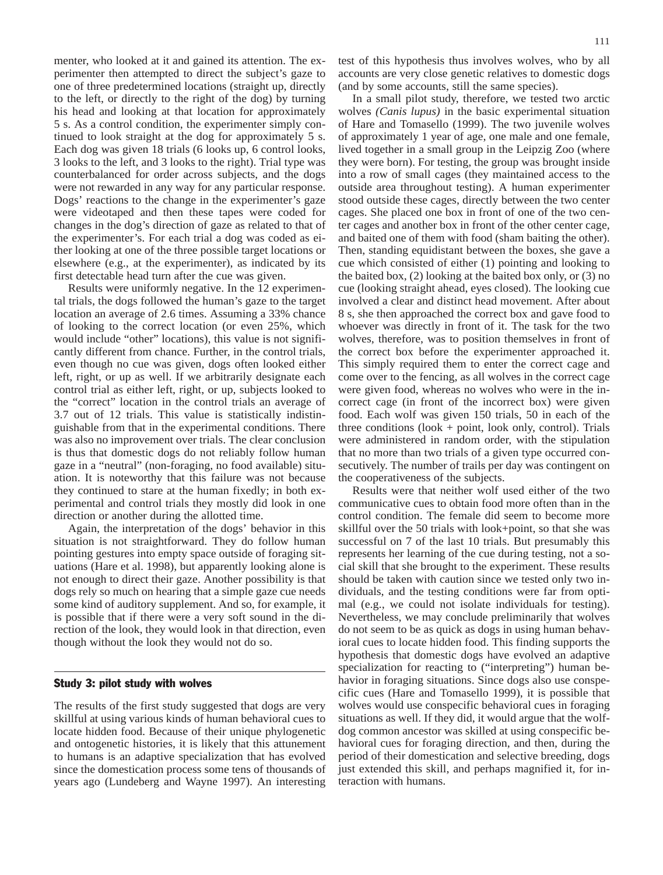menter, who looked at it and gained its attention. The experimenter then attempted to direct the subject's gaze to one of three predetermined locations (straight up, directly to the left, or directly to the right of the dog) by turning his head and looking at that location for approximately 5 s. As a control condition, the experimenter simply continued to look straight at the dog for approximately 5 s. Each dog was given 18 trials (6 looks up, 6 control looks, 3 looks to the left, and 3 looks to the right). Trial type was counterbalanced for order across subjects, and the dogs were not rewarded in any way for any particular response. Dogs' reactions to the change in the experimenter's gaze were videotaped and then these tapes were coded for changes in the dog's direction of gaze as related to that of the experimenter's. For each trial a dog was coded as either looking at one of the three possible target locations or elsewhere (e.g., at the experimenter), as indicated by its first detectable head turn after the cue was given.

Results were uniformly negative. In the 12 experimental trials, the dogs followed the human's gaze to the target location an average of 2.6 times. Assuming a 33% chance of looking to the correct location (or even 25%, which would include "other" locations), this value is not significantly different from chance. Further, in the control trials, even though no cue was given, dogs often looked either left, right, or up as well. If we arbitrarily designate each control trial as either left, right, or up, subjects looked to the "correct" location in the control trials an average of 3.7 out of 12 trials. This value is statistically indistinguishable from that in the experimental conditions. There was also no improvement over trials. The clear conclusion is thus that domestic dogs do not reliably follow human gaze in a "neutral" (non-foraging, no food available) situation. It is noteworthy that this failure was not because they continued to stare at the human fixedly; in both experimental and control trials they mostly did look in one direction or another during the allotted time.

Again, the interpretation of the dogs' behavior in this situation is not straightforward. They do follow human pointing gestures into empty space outside of foraging situations (Hare et al. 1998), but apparently looking alone is not enough to direct their gaze. Another possibility is that dogs rely so much on hearing that a simple gaze cue needs some kind of auditory supplement. And so, for example, it is possible that if there were a very soft sound in the direction of the look, they would look in that direction, even though without the look they would not do so.

### Study 3: pilot study with wolves

The results of the first study suggested that dogs are very skillful at using various kinds of human behavioral cues to locate hidden food. Because of their unique phylogenetic and ontogenetic histories, it is likely that this attunement to humans is an adaptive specialization that has evolved since the domestication process some tens of thousands of years ago (Lundeberg and Wayne 1997). An interesting test of this hypothesis thus involves wolves, who by all accounts are very close genetic relatives to domestic dogs (and by some accounts, still the same species).

In a small pilot study, therefore, we tested two arctic wolves *(Canis lupus)* in the basic experimental situation of Hare and Tomasello (1999). The two juvenile wolves of approximately 1 year of age, one male and one female, lived together in a small group in the Leipzig Zoo (where they were born). For testing, the group was brought inside into a row of small cages (they maintained access to the outside area throughout testing). A human experimenter stood outside these cages, directly between the two center cages. She placed one box in front of one of the two center cages and another box in front of the other center cage, and baited one of them with food (sham baiting the other). Then, standing equidistant between the boxes, she gave a cue which consisted of either (1) pointing and looking to the baited box, (2) looking at the baited box only, or (3) no cue (looking straight ahead, eyes closed). The looking cue involved a clear and distinct head movement. After about 8 s, she then approached the correct box and gave food to whoever was directly in front of it. The task for the two wolves, therefore, was to position themselves in front of the correct box before the experimenter approached it. This simply required them to enter the correct cage and come over to the fencing, as all wolves in the correct cage were given food, whereas no wolves who were in the incorrect cage (in front of the incorrect box) were given food. Each wolf was given 150 trials, 50 in each of the three conditions (look  $+$  point, look only, control). Trials were administered in random order, with the stipulation that no more than two trials of a given type occurred consecutively. The number of trails per day was contingent on the cooperativeness of the subjects.

Results were that neither wolf used either of the two communicative cues to obtain food more often than in the control condition. The female did seem to become more skillful over the 50 trials with look+point, so that she was successful on 7 of the last 10 trials. But presumably this represents her learning of the cue during testing, not a social skill that she brought to the experiment. These results should be taken with caution since we tested only two individuals, and the testing conditions were far from optimal (e.g., we could not isolate individuals for testing). Nevertheless, we may conclude preliminarily that wolves do not seem to be as quick as dogs in using human behavioral cues to locate hidden food. This finding supports the hypothesis that domestic dogs have evolved an adaptive specialization for reacting to ("interpreting") human behavior in foraging situations. Since dogs also use conspecific cues (Hare and Tomasello 1999), it is possible that wolves would use conspecific behavioral cues in foraging situations as well. If they did, it would argue that the wolfdog common ancestor was skilled at using conspecific behavioral cues for foraging direction, and then, during the period of their domestication and selective breeding, dogs just extended this skill, and perhaps magnified it, for interaction with humans.